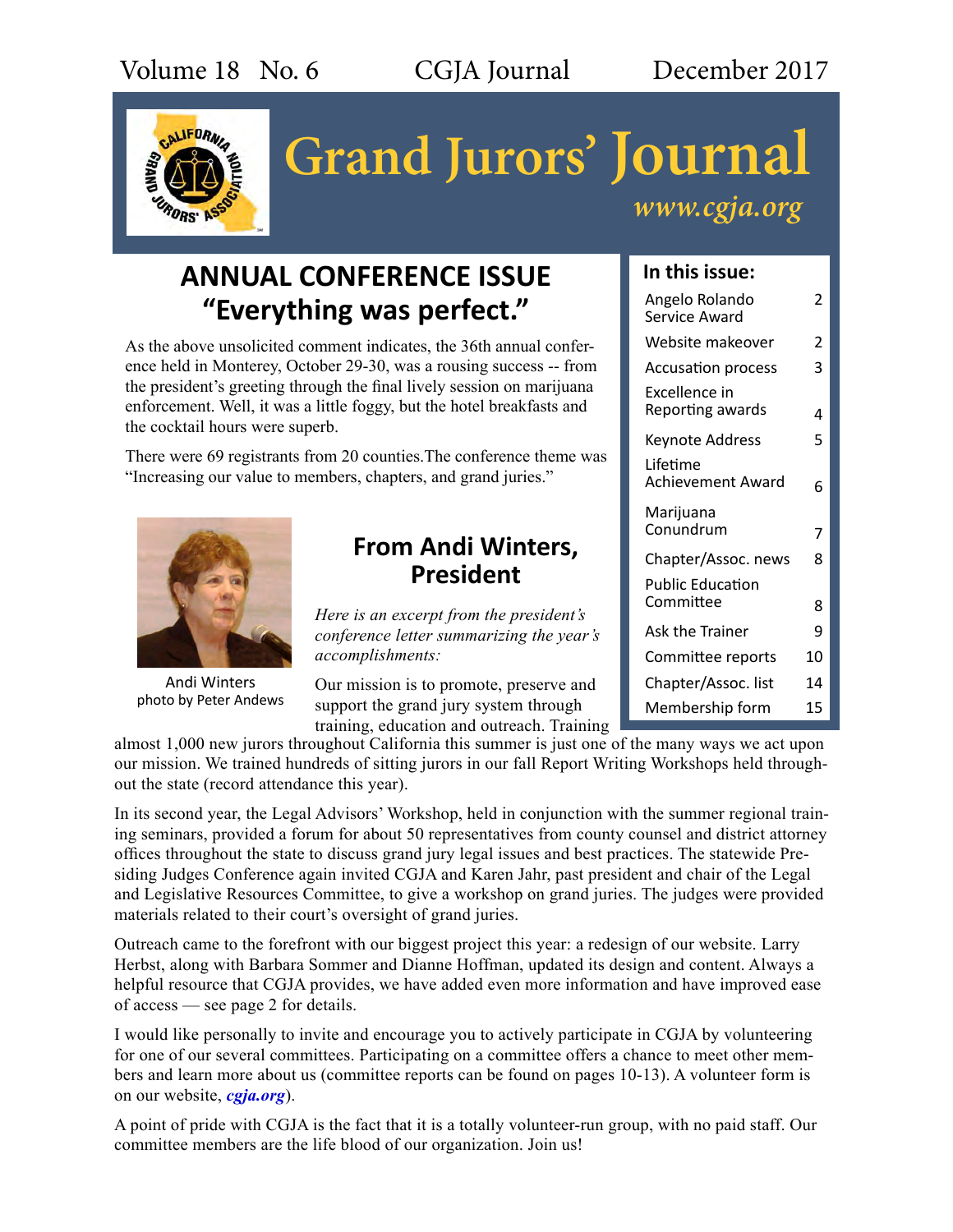

# **Grand Jurors' Journal** *www.cgja.org*

# **ANNUAL CONFERENCE ISSUE "Everything was perfect."**

As the above unsolicited comment indicates, the 36th annual conference held in Monterey, October 29-30, was a rousing success -- from the president's greeting through the final lively session on marijuana enforcement. Well, it was a little foggy, but the hotel breakfasts and the cocktail hours were superb.

There were 69 registrants from 20 counties.The conference theme was "Increasing our value to members, chapters, and grand juries."



Andi Winters photo by Peter Andews

# **From Andi Winters, President**

*Here is an excerpt from the president's conference letter summarizing the year's accomplishments:*

Our mission is to promote, preserve and support the grand jury system through training, education and outreach. Training

almost 1,000 new jurors throughout California this summer is just one of the many ways we act upon our mission. We trained hundreds of sitting jurors in our fall Report Writing Workshops held throughout the state (record attendance this year).

In its second year, the Legal Advisors' Workshop, held in conjunction with the summer regional training seminars, provided a forum for about 50 representatives from county counsel and district attorney offices throughout the state to discuss grand jury legal issues and best practices. The statewide Presiding Judges Conference again invited CGJA and Karen Jahr, past president and chair of the Legal and Legislative Resources Committee, to give a workshop on grand juries. The judges were provided materials related to their court's oversight of grand juries.

Outreach came to the forefront with our biggest project this year: a redesign of our website. Larry Herbst, along with Barbara Sommer and Dianne Hoffman, updated its design and content. Always a helpful resource that CGJA provides, we have added even more information and have improved ease of access — see page 2 for details.

I would like personally to invite and encourage you to actively participate in CGJA by volunteering for one of our several committees. Participating on a committee offers a chance to meet other members and learn more about us (committee reports can be found on pages 10-13). A volunteer form is on our website, *[cgja.org](http:// cgja.org)*).

A point of pride with CGJA is the fact that it is a totally volunteer-run group, with no paid staff. Our committee members are the life blood of our organization. Join us!

## **In this issue:**

| Angelo Rolando<br>Service Award      | 2  |
|--------------------------------------|----|
| Website makeover                     | 2  |
| <b>Accusation process</b>            | 3  |
| Excellence in<br>Reporting awards    | 4  |
| Keynote Address                      | 5  |
| Lifetime<br><b>Achievement Award</b> | 6  |
| Marijuana<br>Conundrum               | 7  |
| Chapter/Assoc. news                  | 8  |
| <b>Public Education</b><br>Committee | 8  |
| <b>Ask the Trainer</b>               | 9  |
| Committee reports                    | 10 |
| Chapter/Assoc. list                  | 14 |
| Membership form                      | 15 |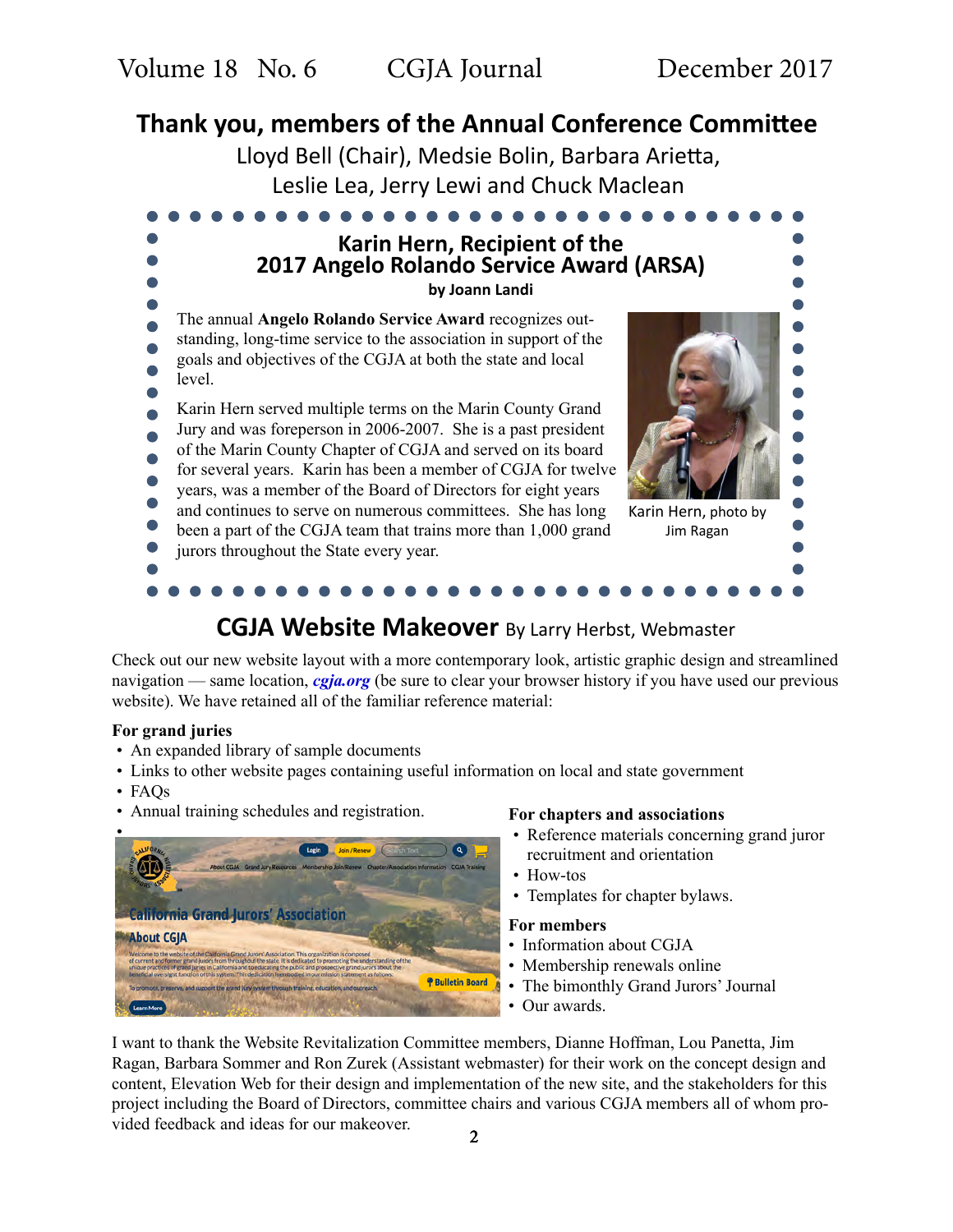# **Thank you, members of the Annual Conference Committee**

Lloyd Bell (Chair), Medsie Bolin, Barbara Arietta, Leslie Lea, Jerry Lewi and Chuck Maclean



# **CGJA Website Makeover** By Larry Herbst, Webmaster

Check out our new website layout with a more contemporary look, artistic graphic design and streamlined navigation — same location, *[cgja.org](http://cgja.org)* (be sure to clear your browser history if you have used our previous website). We have retained all of the familiar reference material:

#### **For grand juries**

- An expanded library of sample documents
- Links to other website pages containing useful information on local and state government
- FAQs
- Annual training schedules and registration.



#### **For chapters and associations**

- Reference materials concerning grand juror recruitment and orientation
- How-tos
- Templates for chapter bylaws.

#### **For members**

- Information about CGJA
- Membership renewals online
- The bimonthly Grand Jurors' Journal
- Our awards.

I want to thank the Website Revitalization Committee members, Dianne Hoffman, Lou Panetta, Jim Ragan, Barbara Sommer and Ron Zurek (Assistant webmaster) for their work on the concept design and content, Elevation Web for their design and implementation of the new site, and the stakeholders for this project including the Board of Directors, committee chairs and various CGJA members all of whom provided feedback and ideas for our makeover.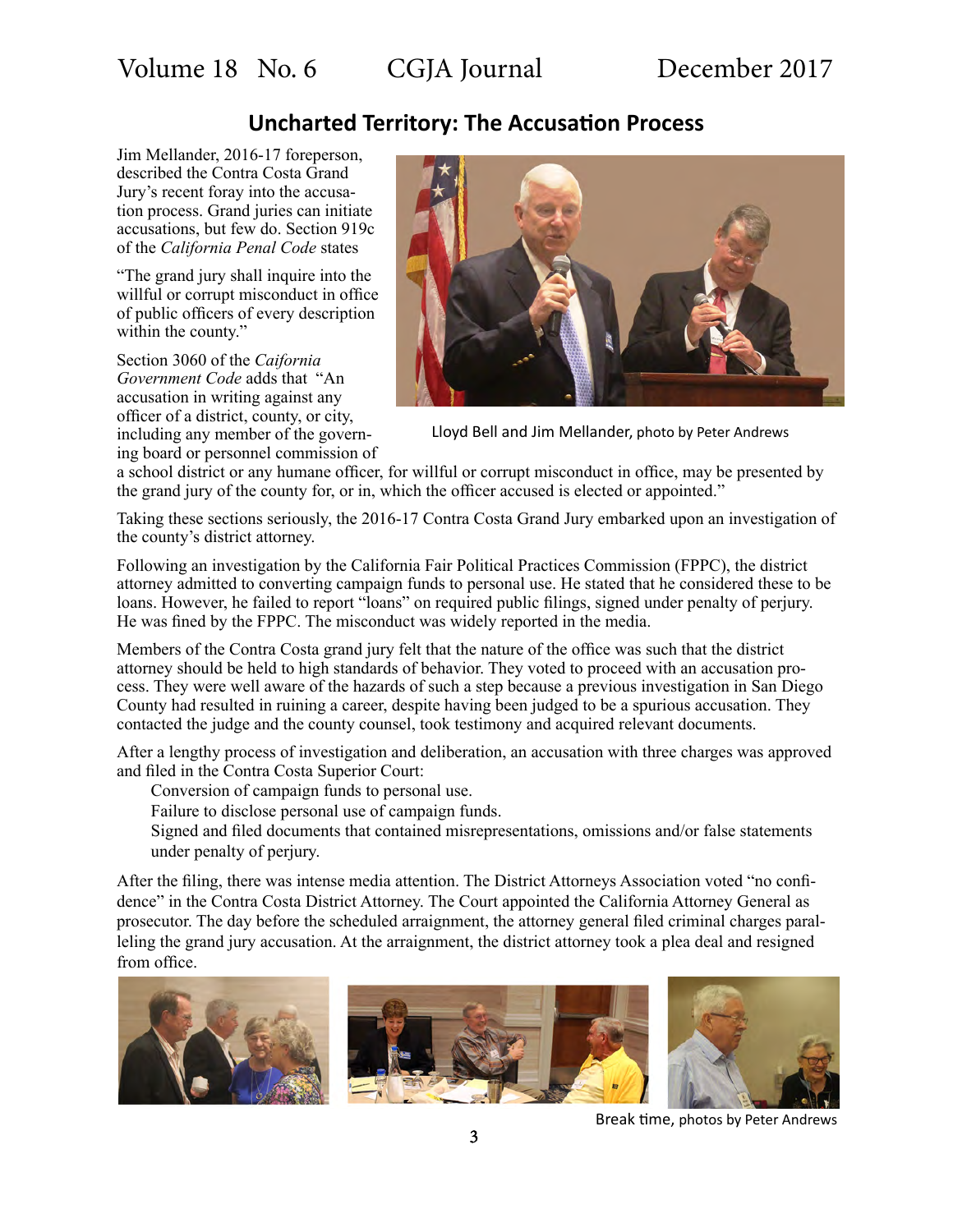## **Uncharted Territory: The Accusation Process**

Jim Mellander, 2016-17 foreperson, described the Contra Costa Grand Jury's recent foray into the accusation process. Grand juries can initiate accusations, but few do. Section 919c of the *California Penal Code* states

"The grand jury shall inquire into the willful or corrupt misconduct in office of public officers of every description within the county."

Section 3060 of the *Caifornia Government Code* adds that "An accusation in writing against any officer of a district, county, or city, including any member of the governing board or personnel commission of



Lloyd Bell and Jim Mellander, photo by Peter Andrews

a school district or any humane officer, for willful or corrupt misconduct in office, may be presented by the grand jury of the county for, or in, which the officer accused is elected or appointed."

Taking these sections seriously, the 2016-17 Contra Costa Grand Jury embarked upon an investigation of the county's district attorney.

Following an investigation by the California Fair Political Practices Commission (FPPC), the district attorney admitted to converting campaign funds to personal use. He stated that he considered these to be loans. However, he failed to report "loans" on required public filings, signed under penalty of perjury. He was fined by the FPPC. The misconduct was widely reported in the media.

Members of the Contra Costa grand jury felt that the nature of the office was such that the district attorney should be held to high standards of behavior. They voted to proceed with an accusation process. They were well aware of the hazards of such a step because a previous investigation in San Diego County had resulted in ruining a career, despite having been judged to be a spurious accusation. They contacted the judge and the county counsel, took testimony and acquired relevant documents.

After a lengthy process of investigation and deliberation, an accusation with three charges was approved and filed in the Contra Costa Superior Court:

Conversion of campaign funds to personal use.

Failure to disclose personal use of campaign funds.

Signed and filed documents that contained misrepresentations, omissions and/or false statements under penalty of perjury.

After the filing, there was intense media attention. The District Attorneys Association voted "no confidence" in the Contra Costa District Attorney. The Court appointed the California Attorney General as prosecutor. The day before the scheduled arraignment, the attorney general filed criminal charges paralleling the grand jury accusation. At the arraignment, the district attorney took a plea deal and resigned from office.



Break time, photos by Peter Andrews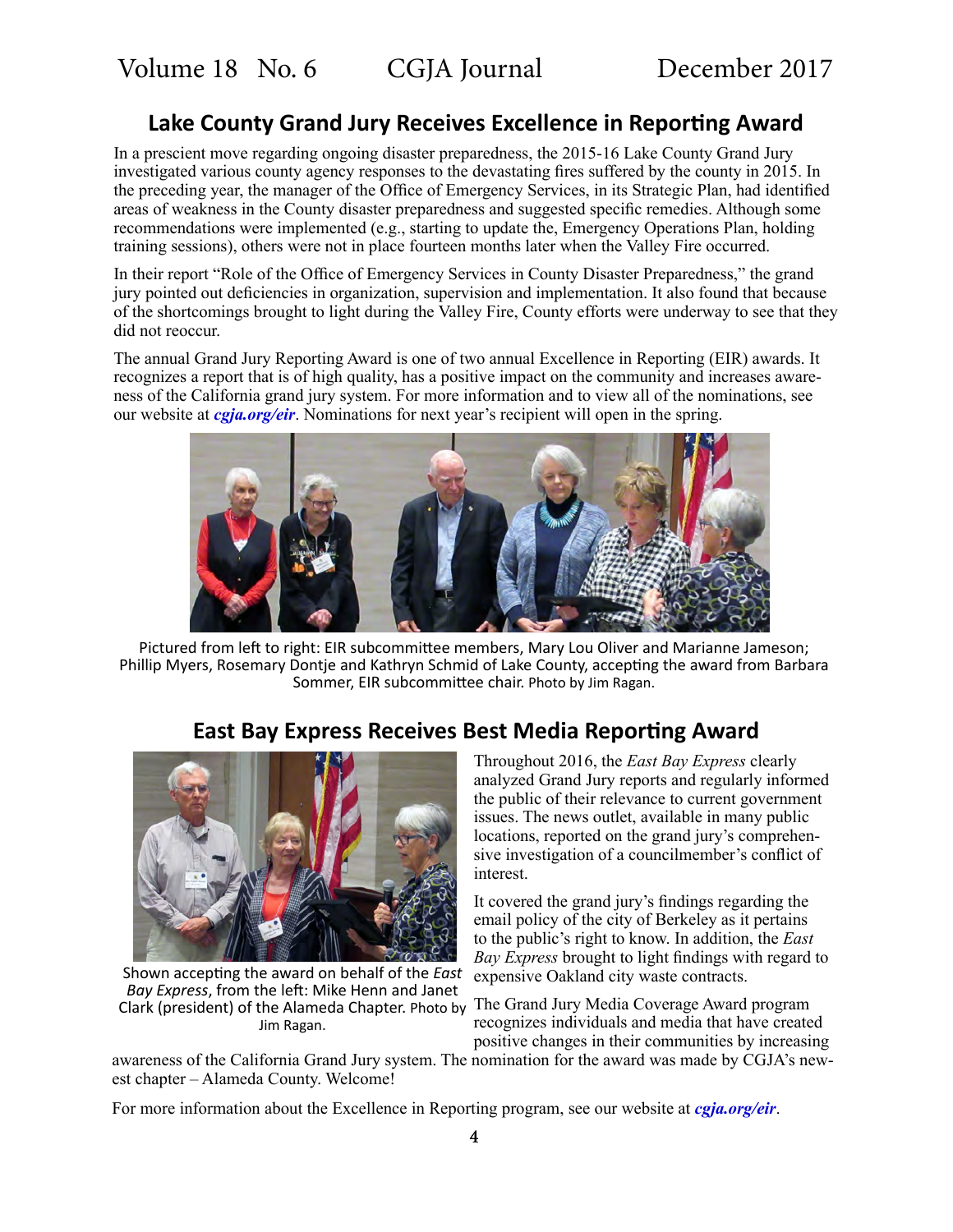## **Lake County Grand Jury Receives Excellence in Reporting Award**

In a prescient move regarding ongoing disaster preparedness, the 2015-16 Lake County Grand Jury investigated various county agency responses to the devastating fires suffered by the county in 2015. In the preceding year, the manager of the Office of Emergency Services, in its Strategic Plan, had identified areas of weakness in the County disaster preparedness and suggested specific remedies. Although some recommendations were implemented (e.g., starting to update the, Emergency Operations Plan, holding training sessions), others were not in place fourteen months later when the Valley Fire occurred.

In their report "Role of the Office of Emergency Services in County Disaster Preparedness," the grand jury pointed out deficiencies in organization, supervision and implementation. It also found that because of the shortcomings brought to light during the Valley Fire, County efforts were underway to see that they did not reoccur.

The annual Grand Jury Reporting Award is one of two annual Excellence in Reporting (EIR) awards. It recognizes a report that is of high quality, has a positive impact on the community and increases awareness of the California grand jury system. For more information and to view all of the nominations, see our website at *[cgja.org/eir](https://cgja.org/excellence-reporting-award)*. Nominations for next year's recipient will open in the spring.



Pictured from left to right: EIR subcommittee members, Mary Lou Oliver and Marianne Jameson; Phillip Myers, Rosemary Dontje and Kathryn Schmid of Lake County, accepting the award from Barbara Sommer, EIR subcommittee chair. Photo by Jim Ragan.



**East Bay Express Receives Best Media Reporting Award**

Clark (president) of the Alameda Chapter. Photo by The Grand Jury Media Coverage Award program Shown accepting the award on behalf of the *East Bay Express*, from the left: Mike Henn and Janet Jim Ragan.

Throughout 2016, the *East Bay Express* clearly analyzed Grand Jury reports and regularly informed the public of their relevance to current government issues. The news outlet, available in many public locations, reported on the grand jury's comprehensive investigation of a councilmember's conflict of interest.

It covered the grand jury's findings regarding the email policy of the city of Berkeley as it pertains to the public's right to know. In addition, the *East Bay Express* brought to light findings with regard to expensive Oakland city waste contracts.

recognizes individuals and media that have created positive changes in their communities by increasing

awareness of the California Grand Jury system. The nomination for the award was made by CGJA's newest chapter – Alameda County. Welcome!

For more information about the Excellence in Reporting program, see our website at *[cgja.org/eir](https://cgja.org/excellence-reporting-award)*.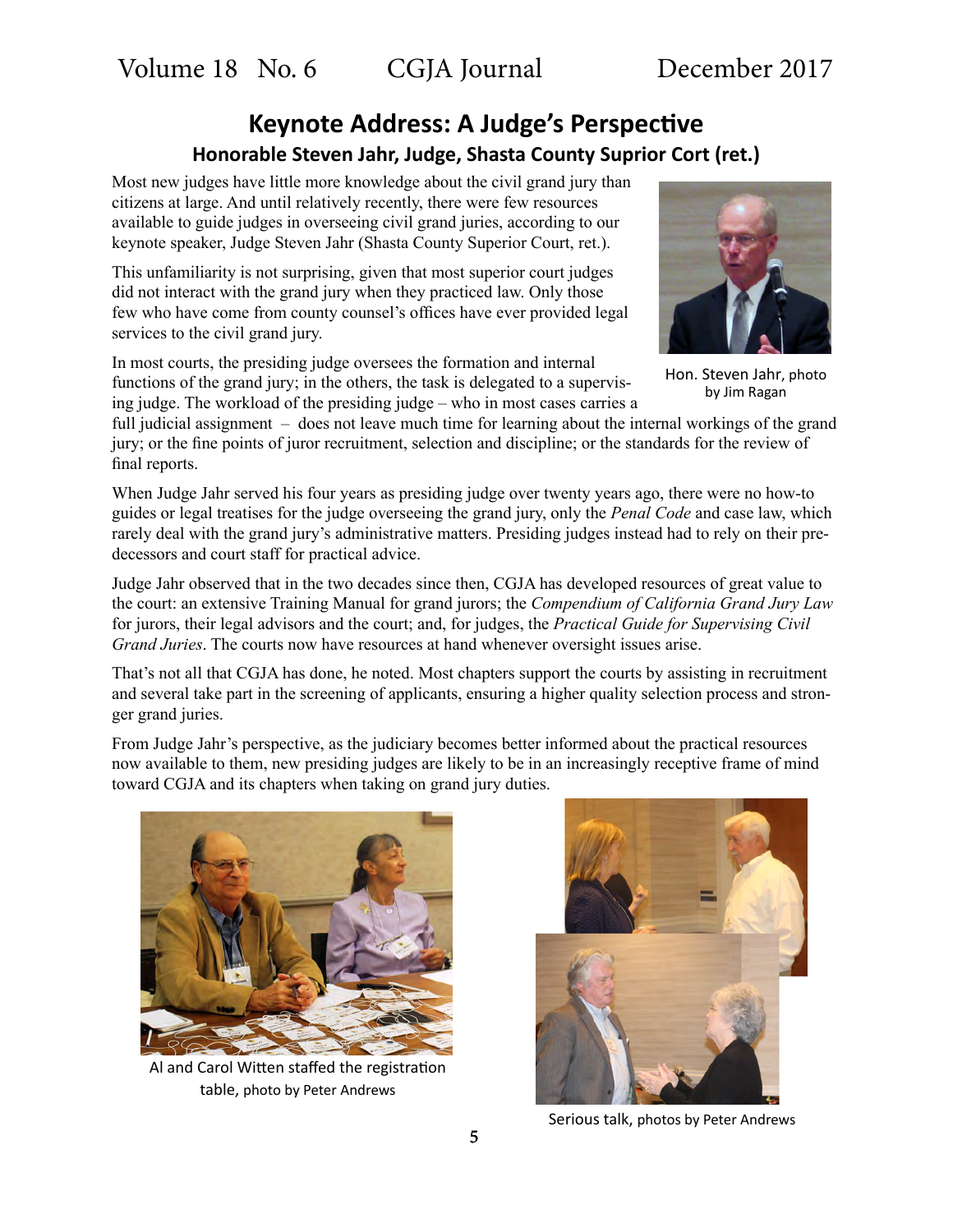# **Keynote Address: A Judge's Perspective Honorable Steven Jahr, Judge, Shasta County Suprior Cort (ret.)**

Most new judges have little more knowledge about the civil grand jury than citizens at large. And until relatively recently, there were few resources available to guide judges in overseeing civil grand juries, according to our keynote speaker, Judge Steven Jahr (Shasta County Superior Court, ret.).

This unfamiliarity is not surprising, given that most superior court judges did not interact with the grand jury when they practiced law. Only those few who have come from county counsel's offices have ever provided legal services to the civil grand jury.

In most courts, the presiding judge oversees the formation and internal functions of the grand jury; in the others, the task is delegated to a supervising judge. The workload of the presiding judge – who in most cases carries a

full judicial assignment – does not leave much time for learning about the internal workings of the grand jury; or the fine points of juror recruitment, selection and discipline; or the standards for the review of final reports.

When Judge Jahr served his four years as presiding judge over twenty years ago, there were no how-to guides or legal treatises for the judge overseeing the grand jury, only the *Penal Code* and case law, which rarely deal with the grand jury's administrative matters. Presiding judges instead had to rely on their predecessors and court staff for practical advice.

Judge Jahr observed that in the two decades since then, CGJA has developed resources of great value to the court: an extensive Training Manual for grand jurors; the *Compendium of California Grand Jury Law* for jurors, their legal advisors and the court; and, for judges, the *Practical Guide for Supervising Civil Grand Juries*. The courts now have resources at hand whenever oversight issues arise.

That's not all that CGJA has done, he noted. Most chapters support the courts by assisting in recruitment and several take part in the screening of applicants, ensuring a higher quality selection process and stronger grand juries.

From Judge Jahr's perspective, as the judiciary becomes better informed about the practical resources now available to them, new presiding judges are likely to be in an increasingly receptive frame of mind toward CGJA and its chapters when taking on grand jury duties.



Al and Carol Witten staffed the registration table, photo by Peter Andrews



Serious talk, photos by Peter Andrews



Hon. Steven Jahr, photo by Jim Ragan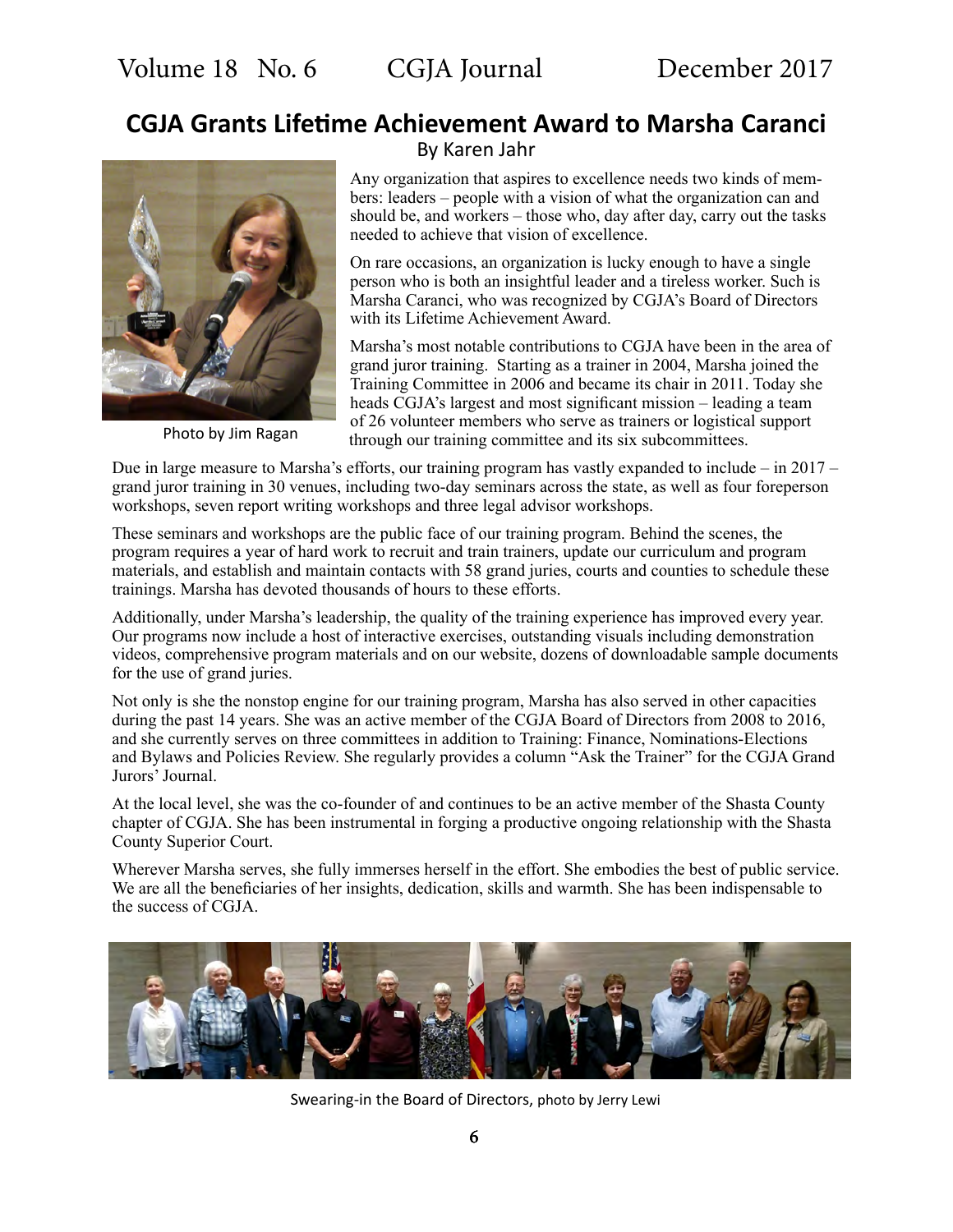# **CGJA Grants Lifetime Achievement Award to Marsha Caranci**



Photo by Jim Ragan

By Karen Jahr

Any organization that aspires to excellence needs two kinds of members: leaders – people with a vision of what the organization can and should be, and workers – those who, day after day, carry out the tasks needed to achieve that vision of excellence.

On rare occasions, an organization is lucky enough to have a single person who is both an insightful leader and a tireless worker. Such is Marsha Caranci, who was recognized by CGJA's Board of Directors with its Lifetime Achievement Award.

Marsha's most notable contributions to CGJA have been in the area of grand juror training. Starting as a trainer in 2004, Marsha joined the Training Committee in 2006 and became its chair in 2011. Today she heads CGJA's largest and most significant mission – leading a team of 26 volunteer members who serve as trainers or logistical support through our training committee and its six subcommittees.

Due in large measure to Marsha's efforts, our training program has vastly expanded to include – in  $2017$ grand juror training in 30 venues, including two-day seminars across the state, as well as four foreperson workshops, seven report writing workshops and three legal advisor workshops.

These seminars and workshops are the public face of our training program. Behind the scenes, the program requires a year of hard work to recruit and train trainers, update our curriculum and program materials, and establish and maintain contacts with 58 grand juries, courts and counties to schedule these trainings. Marsha has devoted thousands of hours to these efforts.

Additionally, under Marsha's leadership, the quality of the training experience has improved every year. Our programs now include a host of interactive exercises, outstanding visuals including demonstration videos, comprehensive program materials and on our website, dozens of downloadable sample documents for the use of grand juries.

Not only is she the nonstop engine for our training program, Marsha has also served in other capacities during the past 14 years. She was an active member of the CGJA Board of Directors from 2008 to 2016, and she currently serves on three committees in addition to Training: Finance, Nominations-Elections and Bylaws and Policies Review. She regularly provides a column "Ask the Trainer" for the CGJA Grand Jurors' Journal.

At the local level, she was the co-founder of and continues to be an active member of the Shasta County chapter of CGJA. She has been instrumental in forging a productive ongoing relationship with the Shasta County Superior Court.

Wherever Marsha serves, she fully immerses herself in the effort. She embodies the best of public service. We are all the beneficiaries of her insights, dedication, skills and warmth. She has been indispensable to the success of CGJA.



Swearing-in the Board of Directors, photo by Jerry Lewi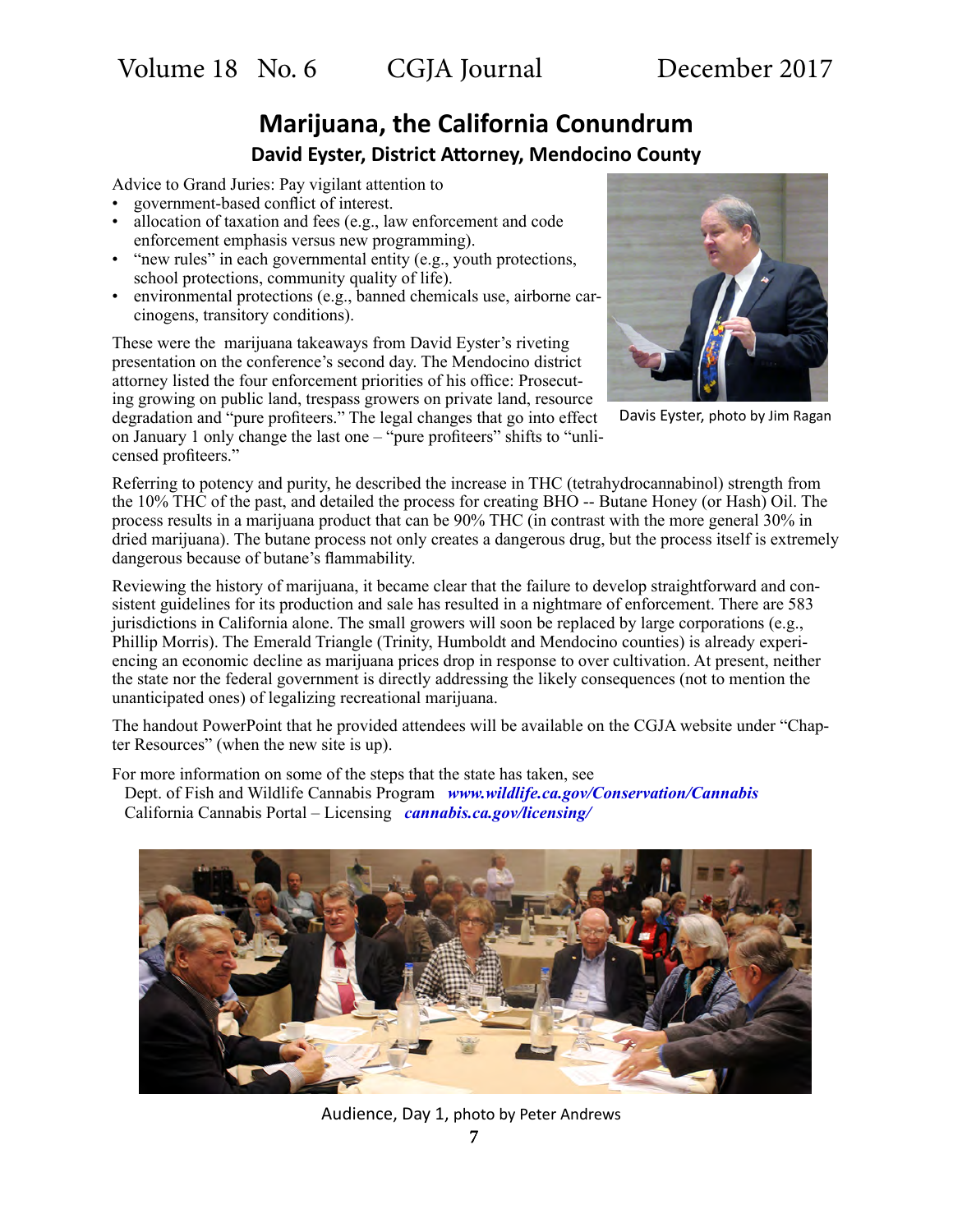# **Marijuana, the California Conundrum David Eyster, District Attorney, Mendocino County**

Advice to Grand Juries: Pay vigilant attention to

- government-based conflict of interest.
- allocation of taxation and fees (e.g., law enforcement and code enforcement emphasis versus new programming).
- "new rules" in each governmental entity (e.g., youth protections, school protections, community quality of life).
- environmental protections (e.g., banned chemicals use, airborne carcinogens, transitory conditions).

These were the marijuana takeaways from David Eyster's riveting presentation on the conference's second day. The Mendocino district attorney listed the four enforcement priorities of his office: Prosecuting growing on public land, trespass growers on private land, resource degradation and "pure profiteers." The legal changes that go into effect on January 1 only change the last one – "pure profiteers" shifts to "unli-

censed profiteers."



Davis Eyster, photo by Jim Ragan

Referring to potency and purity, he described the increase in THC (tetrahydrocannabinol) strength from the 10% THC of the past, and detailed the process for creating BHO -- Butane Honey (or Hash) Oil. The process results in a marijuana product that can be 90% THC (in contrast with the more general 30% in dried marijuana). The butane process not only creates a dangerous drug, but the process itself is extremely dangerous because of butane's flammability.

Reviewing the history of marijuana, it became clear that the failure to develop straightforward and consistent guidelines for its production and sale has resulted in a nightmare of enforcement. There are 583 jurisdictions in California alone. The small growers will soon be replaced by large corporations (e.g., Phillip Morris). The Emerald Triangle (Trinity, Humboldt and Mendocino counties) is already experiencing an economic decline as marijuana prices drop in response to over cultivation. At present, neither the state nor the federal government is directly addressing the likely consequences (not to mention the unanticipated ones) of legalizing recreational marijuana.

The handout PowerPoint that he provided attendees will be available on the CGJA website under "Chapter Resources" (when the new site is up).

For more information on some of the steps that the state has taken, see

Dept. of Fish and Wildlife Cannabis Program *[www.wildlife.ca.gov/Conservation/Cannabis](https://www.wildlife.ca.gov/Conservation/Cannabis )* California Cannabis Portal – Licensing *[cannabis.ca.gov/licensing/](https://cannabis.ca.gov/licensing/)*



Audience, Day 1, photo by Peter Andrews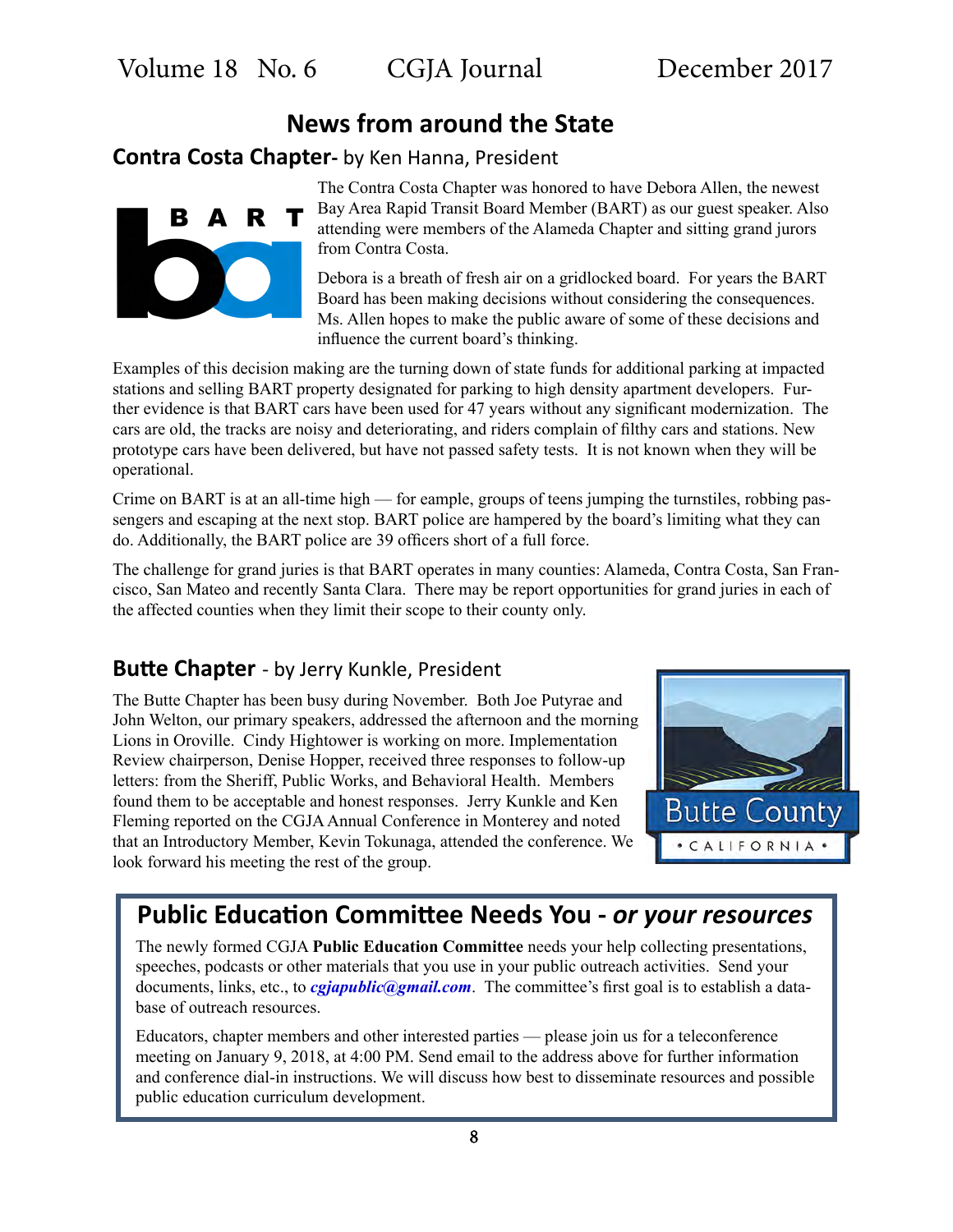# **News from around the State**

## **Contra Costa Chapter-** by Ken Hanna, President

A R B.

The Contra Costa Chapter was honored to have Debora Allen, the newest Bay Area Rapid Transit Board Member (BART) as our guest speaker. Also attending were members of the Alameda Chapter and sitting grand jurors from Contra Costa.

Debora is a breath of fresh air on a gridlocked board. For years the BART Board has been making decisions without considering the consequences. Ms. Allen hopes to make the public aware of some of these decisions and influence the current board's thinking.

Examples of this decision making are the turning down of state funds for additional parking at impacted stations and selling BART property designated for parking to high density apartment developers. Further evidence is that BART cars have been used for 47 years without any significant modernization. The cars are old, the tracks are noisy and deteriorating, and riders complain of filthy cars and stations. New prototype cars have been delivered, but have not passed safety tests. It is not known when they will be operational.

Crime on BART is at an all-time high — for eample, groups of teens jumping the turnstiles, robbing passengers and escaping at the next stop. BART police are hampered by the board's limiting what they can do. Additionally, the BART police are 39 officers short of a full force.

The challenge for grand juries is that BART operates in many counties: Alameda, Contra Costa, San Francisco, San Mateo and recently Santa Clara. There may be report opportunities for grand juries in each of the affected counties when they limit their scope to their county only.

## **Butte Chapter** - by Jerry Kunkle, President

The Butte Chapter has been busy during November. Both Joe Putyrae and John Welton, our primary speakers, addressed the afternoon and the morning Lions in Oroville. Cindy Hightower is working on more. Implementation Review chairperson, Denise Hopper, received three responses to follow-up letters: from the Sheriff, Public Works, and Behavioral Health. Members found them to be acceptable and honest responses. Jerry Kunkle and Ken Fleming reported on the CGJA Annual Conference in Monterey and noted that an Introductory Member, Kevin Tokunaga, attended the conference. We look forward his meeting the rest of the group.



# **Public Education Committee Needs You -** *or your resources*

The newly formed CGJA **Public Education Committee** needs your help collecting presentations, speeches, podcasts or other materials that you use in your public outreach activities. Send your documents, links, etc., to *[cgjapublic@gmail.com](mailto:cgjapublic%40gmail.com?subject=CGJA%20Public%20Education%20Committee)*. The committee's first goal is to establish a database of outreach resources.

Educators, chapter members and other interested parties — please join us for a teleconference meeting on January 9, 2018, at 4:00 PM. Send email to the address above for further information and conference dial-in instructions. We will discuss how best to disseminate resources and possible public education curriculum development.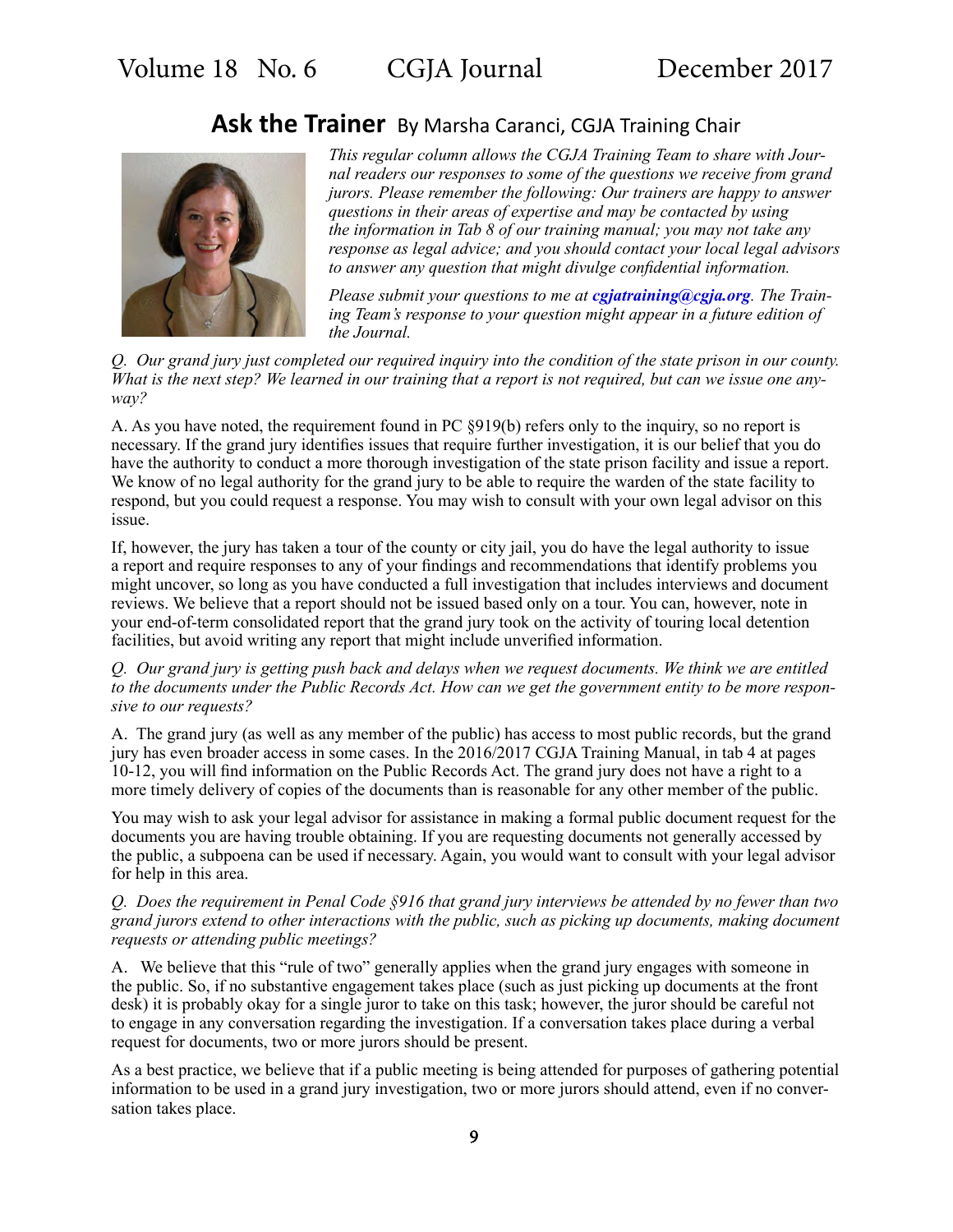## **Ask the Trainer** By Marsha Caranci, CGJA Training Chair



*This regular column allows the CGJA Training Team to share with Journal readers our responses to some of the questions we receive from grand jurors. Please remember the following: Our trainers are happy to answer questions in their areas of expertise and may be contacted by using the information in Tab 8 of our training manual; you may not take any response as legal advice; and you should contact your local legal advisors to answer any question that might divulge confidential information.* 

*Please submit your questions to me at [cgjatraining@cgja.org](mailto:cgjatraining%40cgja.org?subject=Ask%20the%20Trainer). The Training Team's response to your question might appear in a future edition of the Journal.*

*Q. Our grand jury just completed our required inquiry into the condition of the state prison in our county. What is the next step? We learned in our training that a report is not required, but can we issue one anyway?*

A. As you have noted, the requirement found in PC §919(b) refers only to the inquiry, so no report is necessary. If the grand jury identifies issues that require further investigation, it is our belief that you do have the authority to conduct a more thorough investigation of the state prison facility and issue a report. We know of no legal authority for the grand jury to be able to require the warden of the state facility to respond, but you could request a response. You may wish to consult with your own legal advisor on this issue.

If, however, the jury has taken a tour of the county or city jail, you do have the legal authority to issue a report and require responses to any of your findings and recommendations that identify problems you might uncover, so long as you have conducted a full investigation that includes interviews and document reviews. We believe that a report should not be issued based only on a tour. You can, however, note in your end-of-term consolidated report that the grand jury took on the activity of touring local detention facilities, but avoid writing any report that might include unverified information.

*Q. Our grand jury is getting push back and delays when we request documents. We think we are entitled to the documents under the Public Records Act. How can we get the government entity to be more responsive to our requests?*

A. The grand jury (as well as any member of the public) has access to most public records, but the grand jury has even broader access in some cases. In the 2016/2017 CGJA Training Manual, in tab 4 at pages 10-12, you will find information on the Public Records Act. The grand jury does not have a right to a more timely delivery of copies of the documents than is reasonable for any other member of the public.

You may wish to ask your legal advisor for assistance in making a formal public document request for the documents you are having trouble obtaining. If you are requesting documents not generally accessed by the public, a subpoena can be used if necessary. Again, you would want to consult with your legal advisor for help in this area.

#### *Q. Does the requirement in Penal Code §916 that grand jury interviews be attended by no fewer than two grand jurors extend to other interactions with the public, such as picking up documents, making document requests or attending public meetings?*

A. We believe that this "rule of two" generally applies when the grand jury engages with someone in the public. So, if no substantive engagement takes place (such as just picking up documents at the front desk) it is probably okay for a single juror to take on this task; however, the juror should be careful not to engage in any conversation regarding the investigation. If a conversation takes place during a verbal request for documents, two or more jurors should be present.

As a best practice, we believe that if a public meeting is being attended for purposes of gathering potential information to be used in a grand jury investigation, two or more jurors should attend, even if no conversation takes place.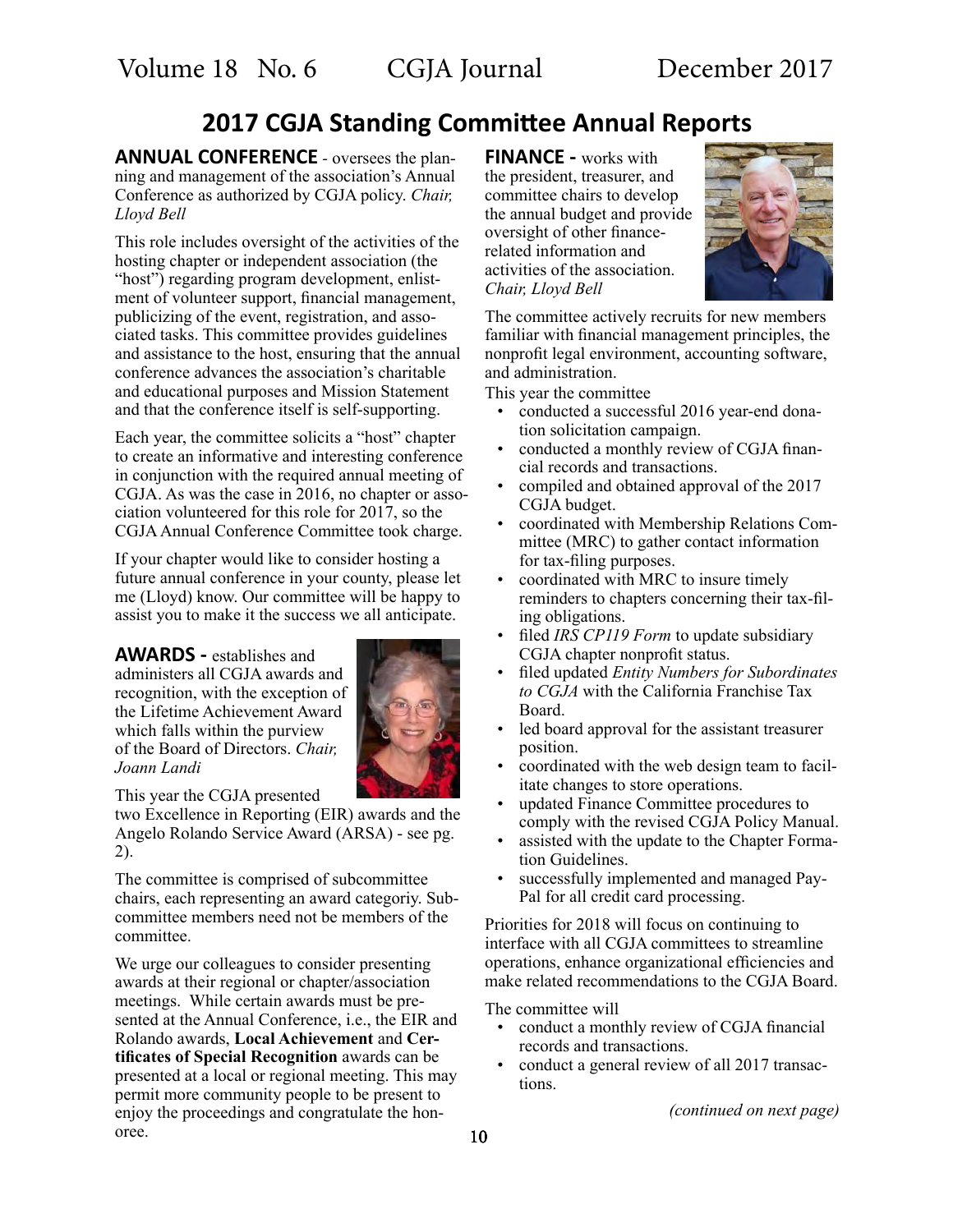# **2017 CGJA Standing Committee Annual Reports**

**ANNUAL CONFERENCE -** oversees the planning and management of the association's Annual Conference as authorized by CGJA policy. *Chair, Lloyd Bell*

This role includes oversight of the activities of the hosting chapter or independent association (the "host") regarding program development, enlistment of volunteer support, financial management, publicizing of the event, registration, and associated tasks. This committee provides guidelines and assistance to the host, ensuring that the annual conference advances the association's charitable and educational purposes and Mission Statement and that the conference itself is self-supporting.

Each year, the committee solicits a "host" chapter to create an informative and interesting conference in conjunction with the required annual meeting of CGJA. As was the case in 2016, no chapter or association volunteered for this role for 2017, so the CGJA Annual Conference Committee took charge.

If your chapter would like to consider hosting a future annual conference in your county, please let me (Lloyd) know. Our committee will be happy to assist you to make it the success we all anticipate.

**AWARDS -** establishes and administers all CGJA awards and recognition, with the exception of the Lifetime Achievement Award which falls within the purview of the Board of Directors. *Chair, Joann Landi*



This year the CGJA presented

two Excellence in Reporting (EIR) awards and the Angelo Rolando Service Award (ARSA) - see pg. 2).

The committee is comprised of subcommittee chairs, each representing an award categoriy. Subcommittee members need not be members of the committee.

We urge our colleagues to consider presenting awards at their regional or chapter/association meetings. While certain awards must be presented at the Annual Conference, i.e., the EIR and Rolando awards, **Local Achievement** and **Certificates of Special Recognition** awards can be presented at a local or regional meeting. This may permit more community people to be present to enjoy the proceedings and congratulate the honoree.

**FINANCE -** works with the president, treasurer, and committee chairs to develop the annual budget and provide oversight of other financerelated information and activities of the association. *Chair, Lloyd Bell*



The committee actively recruits for new members familiar with financial management principles, the nonprofit legal environment, accounting software, and administration.

This year the committee

- conducted a successful 2016 year-end donation solicitation campaign.
- conducted a monthly review of CGJA financial records and transactions.
- compiled and obtained approval of the 2017 CGJA budget.
- coordinated with Membership Relations Committee (MRC) to gather contact information for tax-filing purposes.
- coordinated with MRC to insure timely reminders to chapters concerning their tax-filing obligations.
- filed *IRS CP119 Form* to update subsidiary CGJA chapter nonprofit status.
- filed updated *Entity Numbers for Subordinates to CGJA* with the California Franchise Tax Board.
- led board approval for the assistant treasurer position.
- coordinated with the web design team to facilitate changes to store operations.
- updated Finance Committee procedures to comply with the revised CGJA Policy Manual.
- assisted with the update to the Chapter Formation Guidelines.
- successfully implemented and managed Pay-Pal for all credit card processing.

Priorities for 2018 will focus on continuing to interface with all CGJA committees to streamline operations, enhance organizational efficiencies and make related recommendations to the CGJA Board.

The committee will

- conduct a monthly review of CGJA financial records and transactions.
- conduct a general review of all 2017 transactions.

 *(continued on next page)*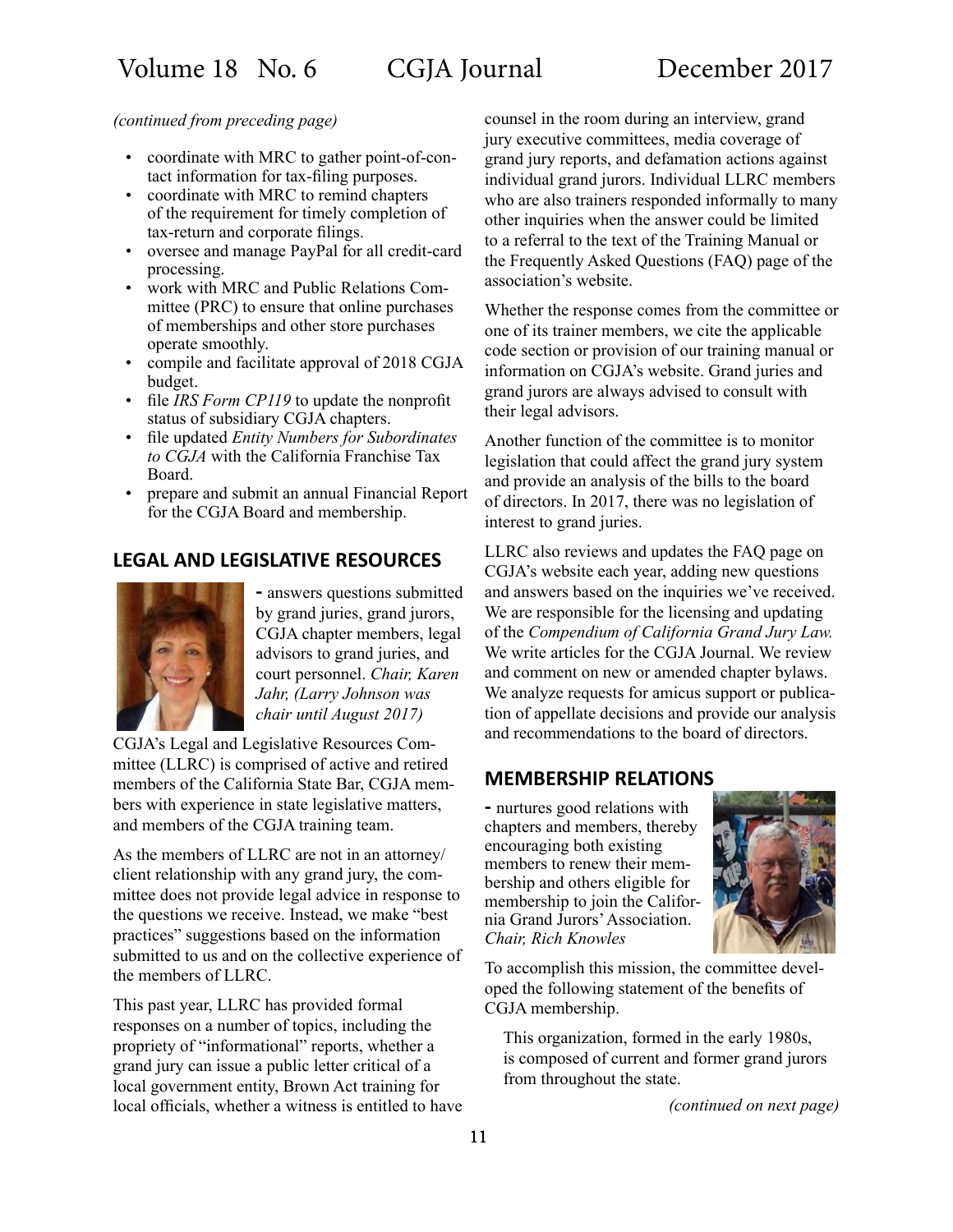*(continued from preceding page)*

- coordinate with MRC to gather point-of-contact information for tax-filing purposes.
- coordinate with MRC to remind chapters of the requirement for timely completion of tax-return and corporate filings.
- oversee and manage PayPal for all credit-card processing.
- work with MRC and Public Relations Committee (PRC) to ensure that online purchases of memberships and other store purchases operate smoothly.
- compile and facilitate approval of 2018 CGJA budget.
- file *IRS Form CP119* to update the nonprofit status of subsidiary CGJA chapters.
- file updated *Entity Numbers for Subordinates to CGJA* with the California Franchise Tax Board.
- prepare and submit an annual Financial Report for the CGJA Board and membership.

## **LEGAL AND LEGISLATIVE RESOURCES**



**-** answers questions submitted by grand juries, grand jurors, CGJA chapter members, legal advisors to grand juries, and court personnel. *Chair, Karen Jahr, (Larry Johnson was chair until August 2017)*

CGJA's Legal and Legislative Resources Committee (LLRC) is comprised of active and retired members of the California State Bar, CGJA members with experience in state legislative matters, and members of the CGJA training team.

As the members of LLRC are not in an attorney/ client relationship with any grand jury, the committee does not provide legal advice in response to the questions we receive. Instead, we make "best practices" suggestions based on the information submitted to us and on the collective experience of the members of LLRC.

This past year, LLRC has provided formal responses on a number of topics, including the propriety of "informational" reports, whether a grand jury can issue a public letter critical of a local government entity, Brown Act training for local officials, whether a witness is entitled to have counsel in the room during an interview, grand jury executive committees, media coverage of grand jury reports, and defamation actions against individual grand jurors. Individual LLRC members who are also trainers responded informally to many other inquiries when the answer could be limited to a referral to the text of the Training Manual or the Frequently Asked Questions (FAQ) page of the association's website.

Whether the response comes from the committee or one of its trainer members, we cite the applicable code section or provision of our training manual or information on CGJA's website. Grand juries and grand jurors are always advised to consult with their legal advisors.

Another function of the committee is to monitor legislation that could affect the grand jury system and provide an analysis of the bills to the board of directors. In 2017, there was no legislation of interest to grand juries.

LLRC also reviews and updates the FAQ page on CGJA's website each year, adding new questions and answers based on the inquiries we've received. We are responsible for the licensing and updating of the *Compendium of California Grand Jury Law.*  We write articles for the CGJA Journal. We review and comment on new or amended chapter bylaws. We analyze requests for amicus support or publication of appellate decisions and provide our analysis and recommendations to the board of directors.

### **MEMBERSHIP RELATIONS**

**-** nurtures good relations with chapters and members, thereby encouraging both existing members to renew their membership and others eligible for membership to join the California Grand Jurors' Association. *Chair, Rich Knowles*



To accomplish this mission, the committee developed the following statement of the benefits of CGJA membership.

This organization, formed in the early 1980s, is composed of current and former grand jurors from throughout the state.

 *(continued on next page)*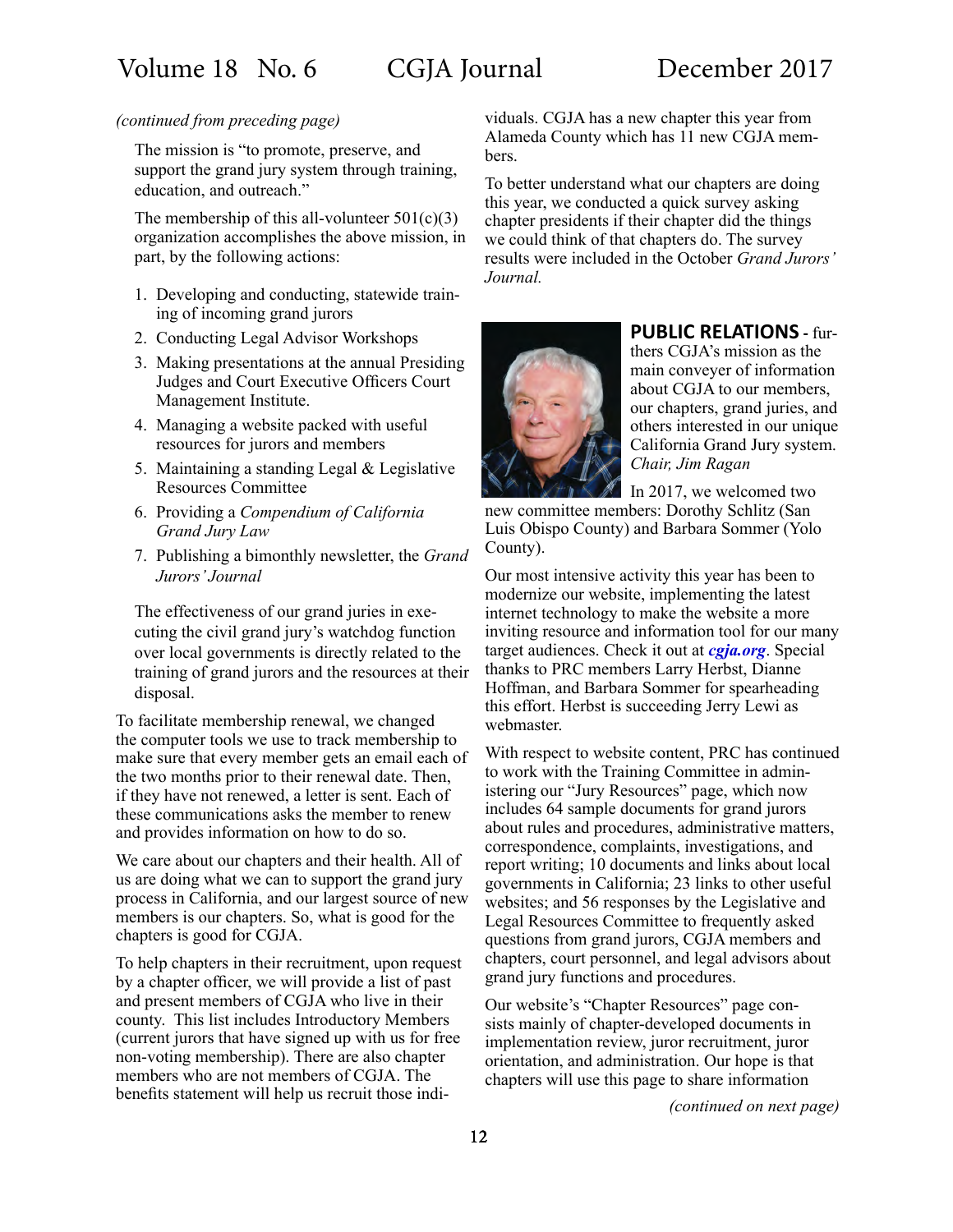#### *(continued from preceding page)*

The mission is "to promote, preserve, and support the grand jury system through training, education, and outreach."

The membership of this all-volunteer  $501(c)(3)$ organization accomplishes the above mission, in part, by the following actions:

- 1. Developing and conducting, statewide training of incoming grand jurors
- 2. Conducting Legal Advisor Workshops
- 3. Making presentations at the annual Presiding Judges and Court Executive Officers Court Management Institute.
- 4. Managing a website packed with useful resources for jurors and members
- 5. Maintaining a standing Legal & Legislative Resources Committee
- 6. Providing a *Compendium of California Grand Jury Law*
- 7. Publishing a bimonthly newsletter, the *Grand Jurors' Journal*

The effectiveness of our grand juries in executing the civil grand jury's watchdog function over local governments is directly related to the training of grand jurors and the resources at their disposal.

To facilitate membership renewal, we changed the computer tools we use to track membership to make sure that every member gets an email each of the two months prior to their renewal date. Then, if they have not renewed, a letter is sent. Each of these communications asks the member to renew and provides information on how to do so.

We care about our chapters and their health. All of us are doing what we can to support the grand jury process in California, and our largest source of new members is our chapters. So, what is good for the chapters is good for CGJA.

To help chapters in their recruitment, upon request by a chapter officer, we will provide a list of past and present members of CGJA who live in their county. This list includes Introductory Members (current jurors that have signed up with us for free non-voting membership). There are also chapter members who are not members of CGJA. The benefits statement will help us recruit those indi-

viduals. CGJA has a new chapter this year from Alameda County which has 11 new CGJA members.

To better understand what our chapters are doing this year, we conducted a quick survey asking chapter presidents if their chapter did the things we could think of that chapters do. The survey results were included in the October *Grand Jurors' Journal.*



**PUBLIC RELATIONS -** furthers CGJA's mission as the main conveyer of information about CGJA to our members, our chapters, grand juries, and others interested in our unique California Grand Jury system. *Chair, Jim Ragan*

In 2017, we welcomed two new committee members: Dorothy Schlitz (San Luis Obispo County) and Barbara Sommer (Yolo County).

Our most intensive activity this year has been to modernize our website, implementing the latest internet technology to make the website a more inviting resource and information tool for our many target audiences. Check it out at *[cgja.org](http://cgja.org)*. Special thanks to PRC members Larry Herbst, Dianne Hoffman, and Barbara Sommer for spearheading this effort. Herbst is succeeding Jerry Lewi as webmaster.

With respect to website content, PRC has continued to work with the Training Committee in administering our "Jury Resources" page, which now includes 64 sample documents for grand jurors about rules and procedures, administrative matters, correspondence, complaints, investigations, and report writing; 10 documents and links about local governments in California; 23 links to other useful websites; and 56 responses by the Legislative and Legal Resources Committee to frequently asked questions from grand jurors, CGJA members and chapters, court personnel, and legal advisors about grand jury functions and procedures.

Our website's "Chapter Resources" page consists mainly of chapter-developed documents in implementation review, juror recruitment, juror orientation, and administration. Our hope is that chapters will use this page to share information

*(continued on next page)*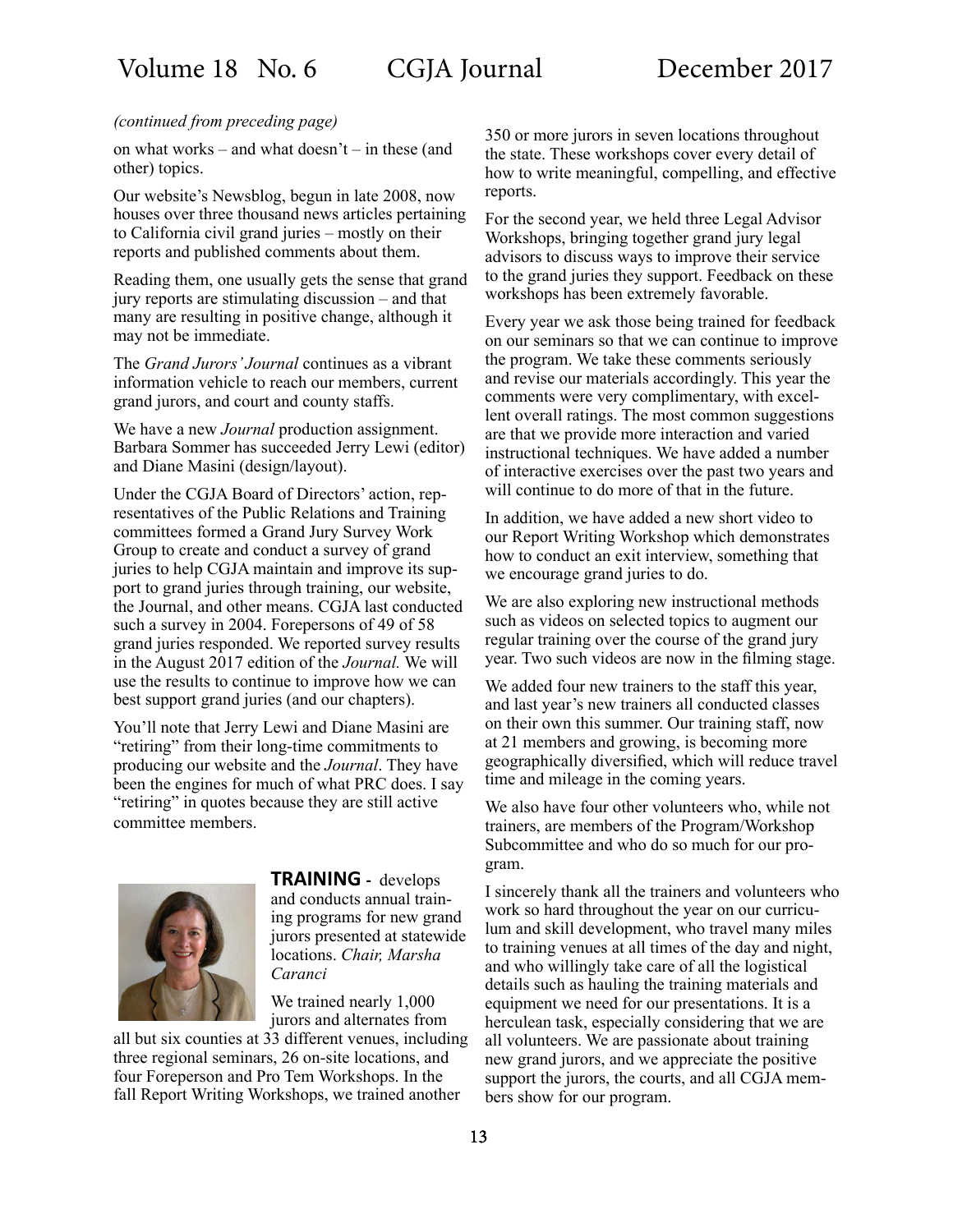#### *(continued from preceding page)*

on what works – and what doesn't – in these (and other) topics.

Our website's Newsblog, begun in late 2008, now houses over three thousand news articles pertaining to California civil grand juries – mostly on their reports and published comments about them.

Reading them, one usually gets the sense that grand jury reports are stimulating discussion – and that many are resulting in positive change, although it may not be immediate.

The *Grand Jurors' Journal* continues as a vibrant information vehicle to reach our members, current grand jurors, and court and county staffs.

We have a new *Journal* production assignment. Barbara Sommer has succeeded Jerry Lewi (editor) and Diane Masini (design/layout).

Under the CGJA Board of Directors' action, representatives of the Public Relations and Training committees formed a Grand Jury Survey Work Group to create and conduct a survey of grand juries to help CGJA maintain and improve its support to grand juries through training, our website, the Journal, and other means. CGJA last conducted such a survey in 2004. Forepersons of 49 of 58 grand juries responded. We reported survey results in the August 2017 edition of the *Journal.* We will use the results to continue to improve how we can best support grand juries (and our chapters).

You'll note that Jerry Lewi and Diane Masini are "retiring" from their long-time commitments to producing our website and the *Journal*. They have been the engines for much of what PRC does. I say "retiring" in quotes because they are still active committee members.



**TRAINING -** develops and conducts annual training programs for new grand jurors presented at statewide locations. *Chair, Marsha Caranci*

We trained nearly 1,000 jurors and alternates from

all but six counties at 33 different venues, including three regional seminars, 26 on-site locations, and four Foreperson and Pro Tem Workshops. In the fall Report Writing Workshops, we trained another

350 or more jurors in seven locations throughout the state. These workshops cover every detail of how to write meaningful, compelling, and effective reports.

For the second year, we held three Legal Advisor Workshops, bringing together grand jury legal advisors to discuss ways to improve their service to the grand juries they support. Feedback on these workshops has been extremely favorable.

Every year we ask those being trained for feedback on our seminars so that we can continue to improve the program. We take these comments seriously and revise our materials accordingly. This year the comments were very complimentary, with excellent overall ratings. The most common suggestions are that we provide more interaction and varied instructional techniques. We have added a number of interactive exercises over the past two years and will continue to do more of that in the future.

In addition, we have added a new short video to our Report Writing Workshop which demonstrates how to conduct an exit interview, something that we encourage grand juries to do.

We are also exploring new instructional methods such as videos on selected topics to augment our regular training over the course of the grand jury year. Two such videos are now in the filming stage.

We added four new trainers to the staff this year, and last year's new trainers all conducted classes on their own this summer. Our training staff, now at 21 members and growing, is becoming more geographically diversified, which will reduce travel time and mileage in the coming years.

We also have four other volunteers who, while not trainers, are members of the Program/Workshop Subcommittee and who do so much for our program.

I sincerely thank all the trainers and volunteers who work so hard throughout the year on our curriculum and skill development, who travel many miles to training venues at all times of the day and night, and who willingly take care of all the logistical details such as hauling the training materials and equipment we need for our presentations. It is a herculean task, especially considering that we are all volunteers. We are passionate about training new grand jurors, and we appreciate the positive support the jurors, the courts, and all CGJA members show for our program.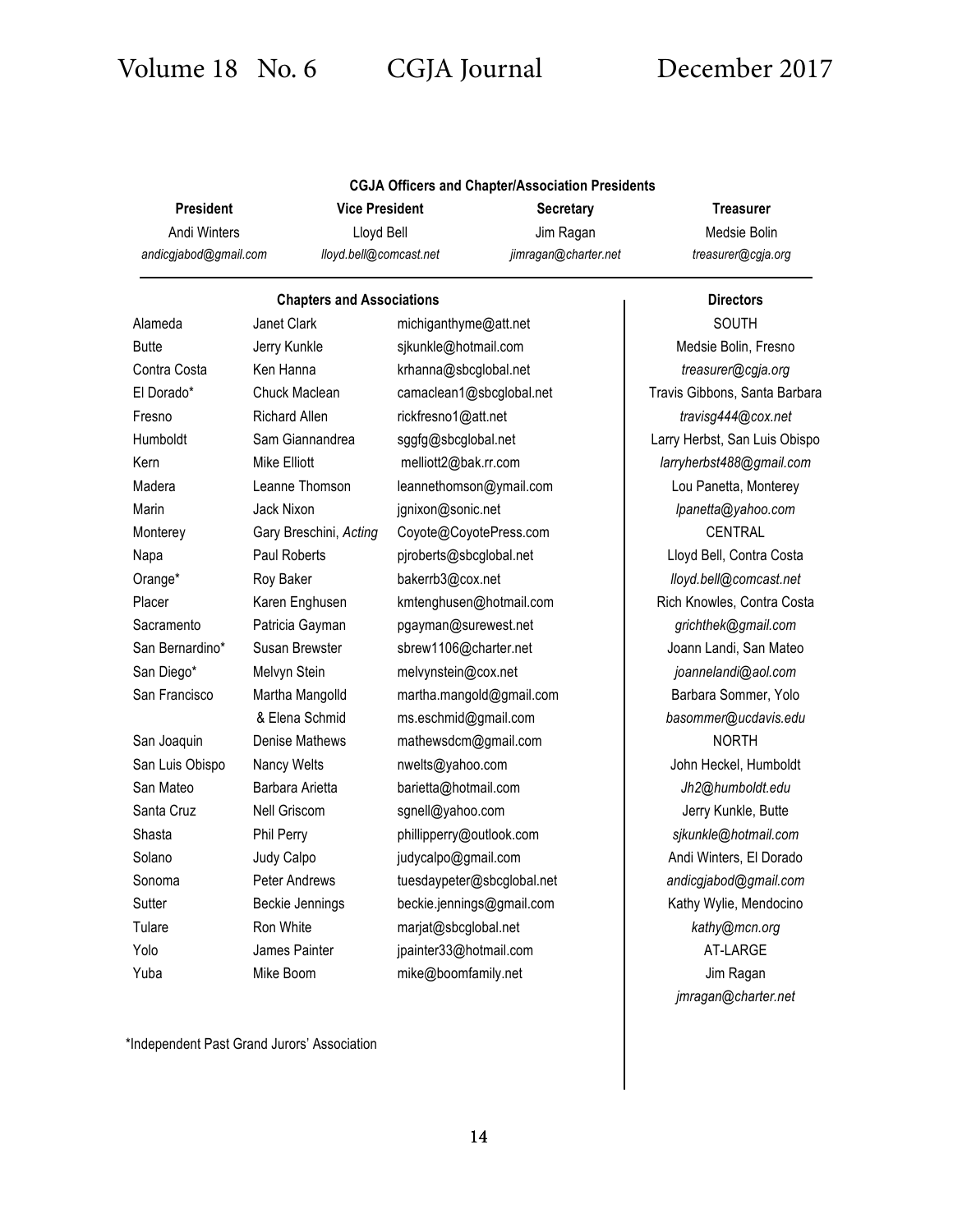| <b>CGJA Officers and Chapter/Association Presidents</b> |                        |                      |                    |  |  |
|---------------------------------------------------------|------------------------|----------------------|--------------------|--|--|
| <b>President</b>                                        | <b>Vice President</b>  | <b>Secretary</b>     | Treasurer          |  |  |
| Andi Winters                                            | Llovd Bell             | Jim Ragan            | Medsie Bolin       |  |  |
| andicgiabod@gmail.com                                   | lloyd.bell@comcast.net | jimragan@charter.net | treasurer@cgja.org |  |  |

## **Chapters and Associations Directors** Alameda Janet Clark michiganthyme@att.net **Nichameda** SOUTH Butte Jerry Kunkle sjkunkle@hotmail.com Medsie Bolin, Fresno Contra Costa Ken Hanna krhanna@sbcglobal.net *treasurer@cgja.org* El Dorado\* Chuck Maclean camaclean1@sbcglobal.net Travis Gibbons, Santa Barbara Fresno Richard Allen rickfresno1@att.net *travisg444@cox.net* Humboldt Sam Giannandrea sggfg@sbcglobal.net Larry Herbst, San Luis Obispo Kern Mike Elliott melliott2@bak.rr.com *larryherbst488@gmail.com* Madera **Leanne Thomson** leannethomson@ymail.com | Lou Panetta, Monterey Marin Jack Nixon jgnixon@sonic.net *lpanetta@yahoo.com* Monterey Gary Breschini, Acting Coyote@CoyotePress.com **CENTRAL** Napa Paul Roberts pjroberts@sbcglobal.net | Lloyd Bell, Contra Costa Orange\* Roy Baker bakerrb3@cox.net *lloyd.bell@comcast.net* Placer **Karen Enghusen** Kartenghusen **kmtenghusen@hotmail.com** Rich Knowles, Contra Costa Sacramento Patricia Gayman pgayman@surewest.net *grichthek@gmail.com* San Bernardino\* Susan Brewster sbrew1106@charter.net | Joann Landi, San Mateo San Diego\* Melvyn Stein melvynstein@cox.net *joannelandi@aol.com* San Francisco Martha Mangolld martha.mangold@gmail.com **Barbara Sommer, Yolo** & Elena Schmid ms.eschmid@gmail.com *basommer@ucdavis.edu* San Joaquin Denise Mathews mathewsdcm@gmail.com NORTH San Luis Obispo Nancy Welts nwelts@yahoo.com **John Heckel, Humboldt** next of the numboldt San Mateo Barbara Arietta barietta@hotmail.com *Jh2@humboldt.edu* Santa Cruz Nell Griscom sgnell@yahoo.com Jerry Kunkle, Butte Shasta Phil Perry phillipperry@outlook.com *sjkunkle@hotmail.com* Solano Judy Calpo judycalpo@gmail.com Andi Winters, El Dorado Sonoma Peter Andrews tuesdaypeter@sbcglobal.net *andicgjabod@gmail.com* Sutter Beckie Jennings beckie.jennings@gmail.com Kathy Wylie, Mendocino Tulare Ron White marjat@sbcglobal.net *kathy@mcn.org* Yolo **James Painter** jpainter33@hotmail.com **AT-LARGE** Yuba Mike Boom mike@boomfamily.net and mike of the Jim Ragan

# *jmragan@charter.net*

\*Independent Past Grand Jurors' Association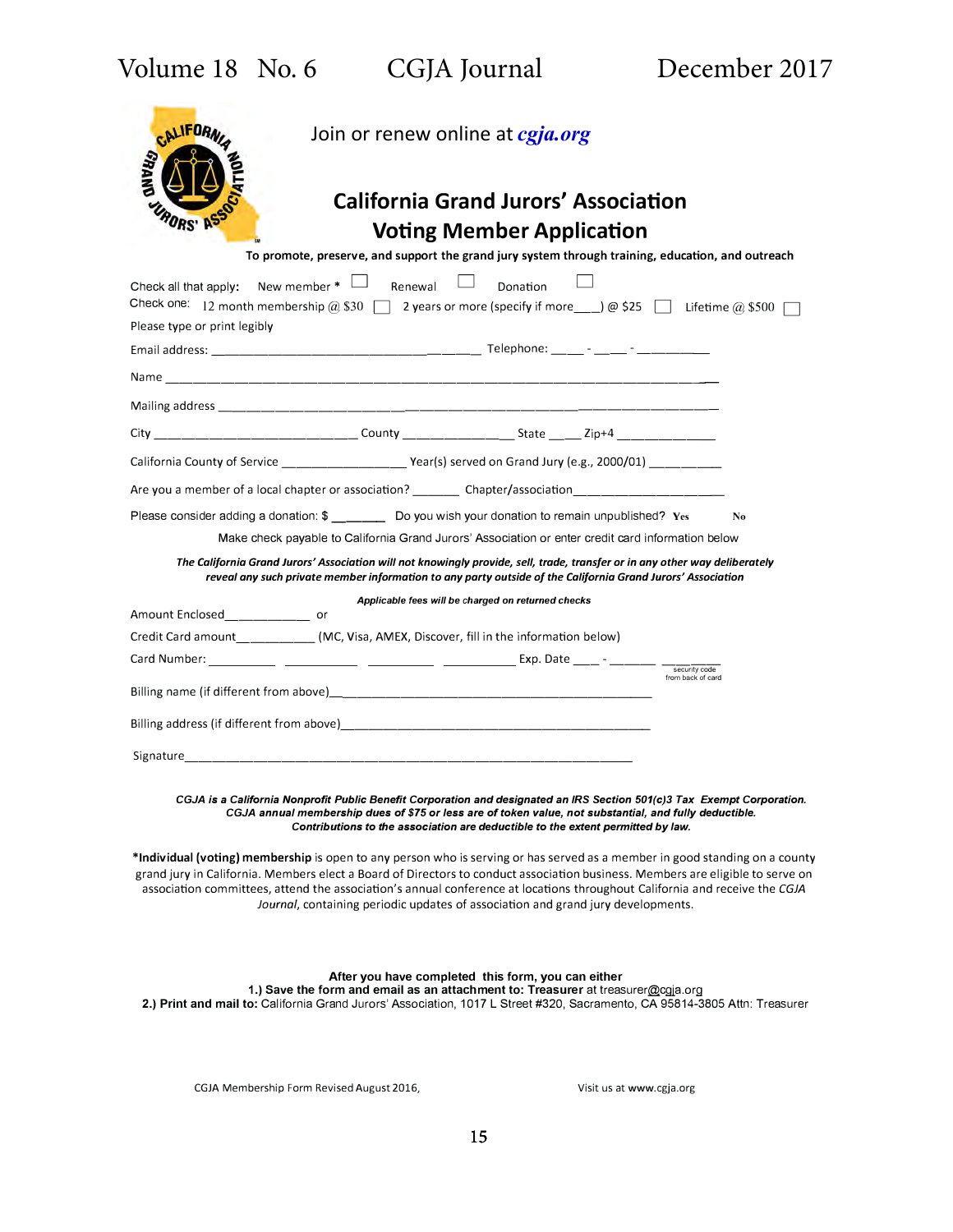| Volume 18 No. 6 |  |
|-----------------|--|
|-----------------|--|

| <b>CALIFORN</b><br>Join or renew online at <i>cgja.org</i><br><b>ANV<i>U.</i></b><br><b>California Grand Jurors' Association</b><br><b>Voting Member Application</b><br>To promote, preserve, and support the grand jury system through training, education, and outreach                                            |  |  |  |  |
|----------------------------------------------------------------------------------------------------------------------------------------------------------------------------------------------------------------------------------------------------------------------------------------------------------------------|--|--|--|--|
| New member $*$<br>Renewal<br>Donation<br>Check all that apply:                                                                                                                                                                                                                                                       |  |  |  |  |
| Check one: 12 month membership @ \$30   2 years or more (specify if more ___) @ \$25   Lifetime @ \$500                                                                                                                                                                                                              |  |  |  |  |
| Please type or print legibly                                                                                                                                                                                                                                                                                         |  |  |  |  |
|                                                                                                                                                                                                                                                                                                                      |  |  |  |  |
|                                                                                                                                                                                                                                                                                                                      |  |  |  |  |
|                                                                                                                                                                                                                                                                                                                      |  |  |  |  |
|                                                                                                                                                                                                                                                                                                                      |  |  |  |  |
| California County of Service _______________________Year(s) served on Grand Jury (e.g., 2000/01) _________                                                                                                                                                                                                           |  |  |  |  |
| Are you a member of a local chapter or association? Chapter/association                                                                                                                                                                                                                                              |  |  |  |  |
| Please consider adding a donation: \$ __________ Do you wish your donation to remain unpublished? Yes<br>N <sub>0</sub>                                                                                                                                                                                              |  |  |  |  |
| Make check payable to California Grand Jurors' Association or enter credit card information below                                                                                                                                                                                                                    |  |  |  |  |
| The California Grand Jurors' Association will not knowingly provide, sell, trade, transfer or in any other way deliberately<br>reveal any such private member information to any party outside of the California Grand Jurors' Association                                                                           |  |  |  |  |
| Applicable fees will be charged on returned checks                                                                                                                                                                                                                                                                   |  |  |  |  |
| Amount Enclosed________________ or                                                                                                                                                                                                                                                                                   |  |  |  |  |
| Credit Card amount____________(MC, Visa, AMEX, Discover, fill in the information below)                                                                                                                                                                                                                              |  |  |  |  |
| security code<br>from back of card                                                                                                                                                                                                                                                                                   |  |  |  |  |
|                                                                                                                                                                                                                                                                                                                      |  |  |  |  |
| Billing address (if different from above) experience and the set of the set of the set of the set of the set of the set of the set of the set of the set of the set of the set of the set of the set of the set of the set of                                                                                        |  |  |  |  |
| Signature <b>contract and the contract of the contract of the contract of the contract of the contract of the contract of the contract of the contract of the contract of the contract of the contract of the contract of the co</b>                                                                                 |  |  |  |  |
| CGJA is a California Nonprofit Public Benefit Corporation and designated an IRS Section 501(c)3 Tax Exempt Corporation.<br>CGJA annual membership dues of \$75 or less are of token value, not substantial, and fully deductible.<br>Contributions to the association are deductible to the extent permitted by law. |  |  |  |  |

**\*Individual (voting) membership** is open to any person who is serving or has served as a member in good standing on a county grand jury in California. Members elect a Board of Directors to conduct association business. Members are eligible to serve on association committees, attend the association's annual conference at locations throughout California and receive the *CGJA Journal,* containing periodic updates of association and grand jury developments.

**After you have completed this form, you can either 1.) Save the form and email as an attachment to: Treasurer** at treasurer@cgja.org **2.) Print and mail to:** California Grand Jurors' Association, 1017 L Street #320, Sacramento, CA 95814-3805 Attn: Treasurer

CGJA Membership Form Revised August 2016, Visit us at www.cgja.org